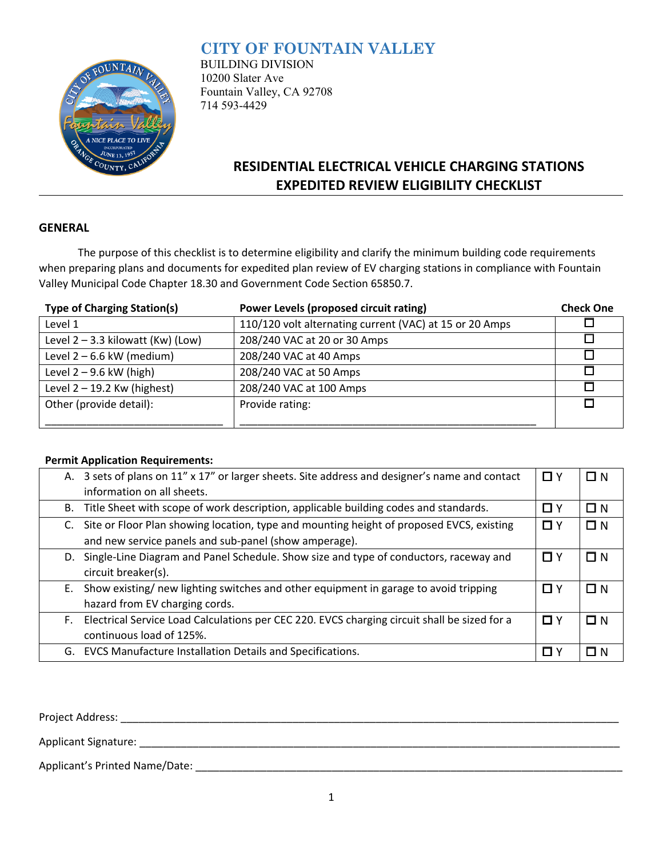## **CITY OF FOUNTAIN VALLEY**



BUILDING DIVISION 10200 Slater Ave Fountain Valley, CA 92708 714 593-4429

# **RESIDENTIAL ELECTRICAL VEHICLE CHARGING STATIONS EXPEDITED REVIEW ELIGIBILITY CHECKLIST**

#### **GENERAL**

The purpose of this checklist is to determine eligibility and clarify the minimum building code requirements when preparing plans and documents for expedited plan review of EV charging stations in compliance with Fountain Valley Municipal Code Chapter 18.30 and Government Code Section 65850.7.

| <b>Type of Charging Station(s)</b>  | Power Levels (proposed circuit rating)                  | <b>Check One</b> |
|-------------------------------------|---------------------------------------------------------|------------------|
| Level 1                             | 110/120 volt alternating current (VAC) at 15 or 20 Amps |                  |
| Level $2 - 3.3$ kilowatt (Kw) (Low) | 208/240 VAC at 20 or 30 Amps                            |                  |
| Level $2 - 6.6$ kW (medium)         | 208/240 VAC at 40 Amps                                  |                  |
| Level $2 - 9.6$ kW (high)           | 208/240 VAC at 50 Amps                                  |                  |
| Level $2 - 19.2$ Kw (highest)       | 208/240 VAC at 100 Amps                                 |                  |
| Other (provide detail):             | Provide rating:                                         |                  |
|                                     |                                                         |                  |

#### **Permit Application Requirements:**

| А. | 3 sets of plans on 11" x 17" or larger sheets. Site address and designer's name and contact  | $\Box$ Y | $\Box N$ |
|----|----------------------------------------------------------------------------------------------|----------|----------|
|    | information on all sheets.                                                                   |          |          |
|    | B. Title Sheet with scope of work description, applicable building codes and standards.      | □ Y      | $\Box N$ |
| C. | Site or Floor Plan showing location, type and mounting height of proposed EVCS, existing     | $\Box$ Y | $\Box N$ |
|    | and new service panels and sub-panel (show amperage).                                        |          |          |
| D. | Single-Line Diagram and Panel Schedule. Show size and type of conductors, raceway and        | $\Box$ Y | $\Box$ N |
|    | circuit breaker(s).                                                                          |          |          |
| Е. | Show existing/ new lighting switches and other equipment in garage to avoid tripping         | $\Box$ Y | $\Box N$ |
|    | hazard from EV charging cords.                                                               |          |          |
| F. | Electrical Service Load Calculations per CEC 220. EVCS charging circuit shall be sized for a | $\Box$ Y | $\Box N$ |
|    | continuous load of 125%.                                                                     |          |          |
|    | G. EVCS Manufacture Installation Details and Specifications.                                 | □ Y      | -N       |
|    |                                                                                              |          |          |

Project Address: \_\_\_\_\_\_\_\_\_\_\_\_\_\_\_\_\_\_\_\_\_\_\_\_\_\_\_\_\_\_\_\_\_\_\_\_\_\_\_\_\_\_\_\_\_\_\_\_\_\_\_\_\_\_\_\_\_\_\_\_\_\_\_\_\_\_\_\_\_\_\_\_\_\_\_\_\_\_\_\_\_\_\_\_

Applicant Signature: \_\_\_\_\_\_\_\_\_\_\_\_\_\_\_\_\_\_\_\_\_\_\_\_\_\_\_\_\_\_\_\_\_\_\_\_\_\_\_\_\_\_\_\_\_\_\_\_\_\_\_\_\_\_\_\_\_\_\_\_\_\_\_\_\_\_\_\_\_\_\_\_\_\_\_\_\_\_\_\_\_

Applicant's Printed Name/Date: \_\_\_\_\_\_\_\_\_\_\_\_\_\_\_\_\_\_\_\_\_\_\_\_\_\_\_\_\_\_\_\_\_\_\_\_\_\_\_\_\_\_\_\_\_\_\_\_\_\_\_\_\_\_\_\_\_\_\_\_\_\_\_\_\_\_\_\_\_\_\_\_